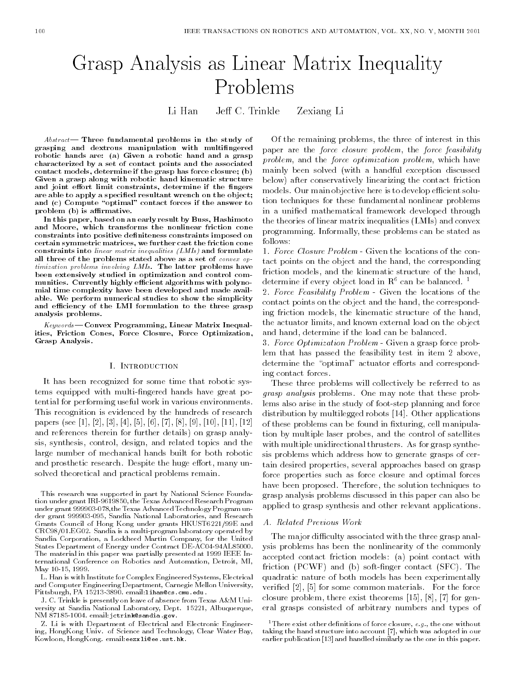# Grasp Analysis as Linear Matrix Inequality Problems

Li HanJeff C. Trinkle Zexiang Li

 $Abstract$  Three fundamental problems in the study of grasping and dextrous manipulation with multingered robotic hands are: (a) Given a robotic hand and a grasp characterized by a set of contact points and the associated contact models, determine if the grasp has force closure; (b) Given a grasp along with robotic hand kinematic structure and joint effort limit constraints, determine if the fingers are able to apply a specified resultant wrench on the object; and  $(c)$  Compute "optimal" contact forces if the answer to problem (b) is affirmative.

In this paper, based on an early result by Buss, Hashimoto and Moore, which transforms the nonlinear friction cone constraints into positive definiteness constraints imposed on certain symmetric matrices, we further cast the friction cone constraints into linear matrix inequalities (LMIs) and formulate all three of the problems stated above as a set of convex optimization problems involving LMIs. The latter problems have been extensively studied in optimization and control com munities. Currently highly efficient algorithms with polynomial time complexity have been developed and made available. We perform numerical studies to show the simplicity and efficiency of the LMI formulation to the three grasp analysis problems.

 $Keywords$ —Convex Programming, Linear Matrix Inequalities, Friction Cones, Force Closure, Force Optimization, Grasp Analysis.

#### I. Introduction

It has been recognized for some time that robotic systems equipped with multi-ngered hands have great potential for performing useful work in various environments. This recognition is evidenced by the hundreds of research papers (see [1], [2], [3], [4], [5], [6], [7], [8], [9], [10], [11], [12] and references therein for further details) on grasp analysis, synthesis, control, design, and related topics and the large number of mechanical hands built for both robotic and prosthetic research. Despite the huge effort, many unsolved theoretical and practical problems remain.

L. Han is with Institute for Complex Engineered Systems, Electrical and Computer Engineering Department, Carnegie Mellon University, Pittsburgh, PA 15213-3890. email:lihan@cs.cmu.edu.

J. C. Trinkle is presently on leave of absence from Texas A&M Uni versity at Sandia National Laboratory, Dept. 15221, Albuquerque, NM 87185-1004. email:jctrink@sandia.gov.

Z. Li is with Department of Electrical and Electronic Engineering, HongKong Univ. of Science and Technology, Clear Water Bay, Kowloon, HongKong. email:eezxli@ee.ust.hk.

Of the remaining problems, the three of interest in this paper are the force closure problem, the force feasibility problem, and the force optimization problem, which have mainly been solved (with a handful exception discussed below) after conservatively linearizing the contact friction models. Our main objective here is to develop efficient solution techniques for these fundamental nonlinear problems in a unied mathematical framework developed through the theories of linear matrix inequalities (LMIs) and convex programming. Informally, these problems can be stated as follows:

1. Force Closure Problem - Given the locations of the contact points on the object and the hand, the corresponding friction models, and the kinematic structure of the hand, determine if every object load in  $R^6$  can be balanced.<sup>1</sup>

2. Force Feasibility Problem - Given the locations of the contact points on the object and the hand, the corresponding friction models, the kinematic structure of the hand, the actuator limits, and known external load on the object and hand, determine if the load can be balanced.

3. Force Optimization Problem - Given a grasp force problem that has passed the feasibility test in item 2 above, determine the "optimal" actuator efforts and corresponding contact forces.

These three problems will collectively be referred to as grasp analysis problems. One may note that these problems also arise in the study of foot-step planning and force distribution by multilegged robots [14]. Other applications of these problems can be found in xturing, cell manipulation by multiple laser probes, and the control of satellites with multiple unidirectional thrusters. As for grasp synthesis problems which address how to generate grasps of certain desired properties, several approaches based on grasp force properties such as force closure and optimal forces have been proposed. Therefore, the solution techniques to grasp analysis problems discussed in this paper can also be applied to grasp synthesis and other relevant applications.

#### A. Related Previous Work

The major difficulty associated with the three grasp analysis problems has been the nonlinearity of the commonly accepted contact friction models: (a) point contact with friction (PCWF) and (b) soft-finger contact (SFC). The quadratic nature of both models has been experimentally veried [2], [5] for some common materials. For the force closure problem, there exist theorems [15], [8], [7] for general grasps consisted of arbitrary numbers and types of

<sup>1</sup>There exist other definitions of force closure,  $e.g.,$  the one without taking the hand structure into account [7], which was adopted in our earlier publication [13] and handled similarly as the one in this paper.

This research was supported in part by National Science Foundation under grant IRI-9619850, the Texas Advanced Research Program under grant 999903-078,the Texas Advanced Technology Program under grant 999903-095, Sandia National Laboratories, and Research Grants Council of Hong Kong under grants HKUST6221/99E and CRC98/01.EG02. Sandia is a multi-program laboratory operated by Sandia Corporation, a Lockheed Martin Company, for the United States Department of Energy under Contract DE-AC04-94AL85000. The material in this paper was partially presented at 1999 IEEE International Conference on Robotics and Automation, Detroit, MI, May 10-15, 1999.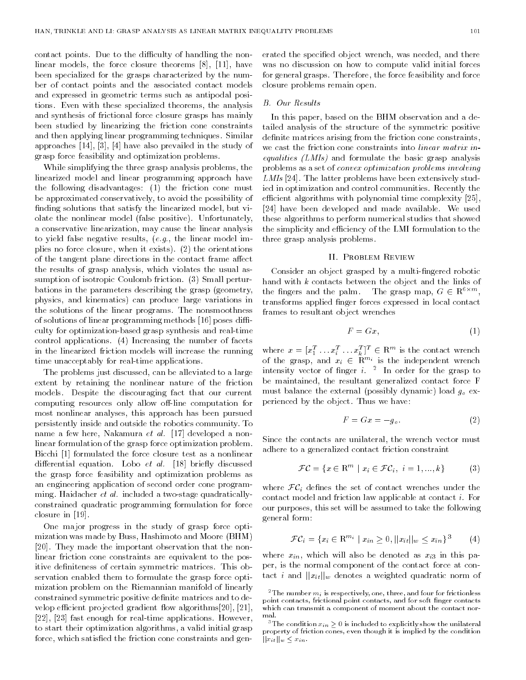contact points. Due to the difficulty of handling the nonlinear models, the force closure theorems [8], [11], have been specialized for the grasps characterized by the number of contact points and the associated contact models and expressed in geometric terms such as antipodal positions. Even with these specialized theorems, the analysis and synthesis of frictional force closure grasps has mainly been studied by linearizing the friction cone constraints and then applying linear programming techniques. Similar approaches [14], [3], [4] have also prevailed in the study of grasp force feasibility and optimization problems.

While simplifying the three grasp analysis problems, the linearized model and linear programming approach have the following disadvantages: (1) the friction cone must be approximated conservatively, to avoid the possibility of finding solutions that satisfy the linearized model, but violate the nonlinear model (false positive). Unfortunately, a conservative linearization, may cause the linear analysis to yield false negative results, (e.g., the linear model implies no force closure, when it exists). (2) the orientations of the tangent plane directions in the contact frame affect the results of grasp analysis, which violates the usual assumption of isotropic Coulomb friction. (3) Small perturbations in the parameters describing the grasp (geometry, the fingers and the palm. physics, and kinematics) can produce large variations in the solutions of the linear programs. The nonsmoothness of solutions of linear programming methods [16] poses difficulty for optimization-based grasp synthesis and real-time control applications. (4) Increasing the number of facets in the linearized friction models will increase the running time unacceptably for real-time applications.

The problems just discussed, can be alleviated to a large extent by retaining the nonlinear nature of the friction models. Despite the discouraging fact that our current computing resources only allow off-line computation for most nonlinear analyses, this approach has been pursued persistently inside and outside the robotics community. To name a few here, Nakamura et al. [17] developed a nonlinear formulation of the grasp force optimization problem. Bicchi [1] formulated the force closure test as a nonlinear differential equation. Lobo *et al.* [18] briefly discussed the grasp force feasibility and optimization problems as an engineering application of second order cone programming. Haidacher et al. included a two-stage quadraticallyconstrained quadratic programming formulation for force closure in [19].

One major progress in the study of grasp force optimization was made by Buss, Hashimoto and Moore (BHM) [20]. They made the important observation that the nonlinear friction cone constraints are equivalent to the positive definiteness of certain symmetric matrices. This observation enabled them to formulate the grasp force optimization problem on the Riemannian manifold of linearly constrained symmetric positive denite matrices and to develop efficient projected gradient flow algorithms[20], [21], [22], [23] fast enough for real-time applications. However, to start their optimization algorithms, a valid initial grasp force, which satised the friction cone constraints and generated the specified object wrench, was needed, and there was no discussion on how to compute valid initial forces for general grasps. Therefore, the force feasibility and force closure problems remain open.

#### B. Our Results

In this paper, based on the BHM observation and a detailed analysis of the structure of the symmetric positive definite matrices arising from the friction cone constraints, we cast the friction cone constraints into *linear matrix inequalities (LMIs)* and formulate the basic grasp analysis problems as a set of convex optimization problems involving LMIs [24]. The latter problems have been extensively studied in optimization and control communities. Recently the efficient algorithms with polynomial time complexity  $[25]$ , [24] have been developed and made available. We used these algorithms to perform numerical studies that showed the simplicity and efficiency of the LMI formulation to the three grasp analysis problems.

#### II. Problem Review

Consider an object grasped by a multi-fingered robotic hand with k contacts between the object and the links of the imgers and the palm. The grasp map,  $G \in \mathbb{R}^{+\infty}$ , transforms applied finger forces expressed in local contact frames to resultant object wrenches

$$
F = Gx, \tag{1}
$$

where  $x = [x_1^{\tau} \dots x_i^{\tau} \dots x_k^{\tau}]^{\top} \in \mathbb{R}^m$  is the contact wrench<br>of the grasp, and  $x_i \in \mathbb{R}^{m_i}$  is the independent wrench intensity vector of nger i. <sup>2</sup> In order for the grasp to be maintained, the resultant generalized contact force F must balance the external (possibly dynamic) load  $g_0$  experienced by the object. Thus we have:

$$
F = Gx = -g_o. \tag{2}
$$

Since the contacts are unilateral, the wrench vector must adhere to a generalized contact friction constraint

$$
\mathcal{FC} = \{x \in \mathbb{R}^m \mid x_i \in \mathcal{FC}_i, i = 1, ..., k\}
$$
 (3)

where  $\mathcal{FC}_i$  defines the set of contact wrenches under the contact model and friction law applicable at contact i. For our purposes, this set will be assumed to take the following general form:

$$
\mathcal{FC}_i = \{ x_i \in \mathbb{R}^{m_i} \mid x_{in} \ge 0, ||x_{it}||_w \le x_{in} \}^3 \tag{4}
$$

where  $x_{in}$ , which will also be denoted as  $x_{i3}$  in this paper, is the normal component of the contact force at contact *i* and  $||x_{it}||_{w}$  denotes a weighted quadratic norm of

<sup>&</sup>lt;sup>2</sup>The number  $m_i$  is respectively, one, three, and four for frictionless point contacts, frictional point contacts, and for soft finger contacts which can transmit a component of moment about the contact normal.

<sup>&</sup>lt;sup>3</sup>The condition  $x_{in} \geq 0$  is included to explicitly show the unilateral property of friction cones, even though it is implied by the condition  $||x_{it}||_w \leq x_{in}.$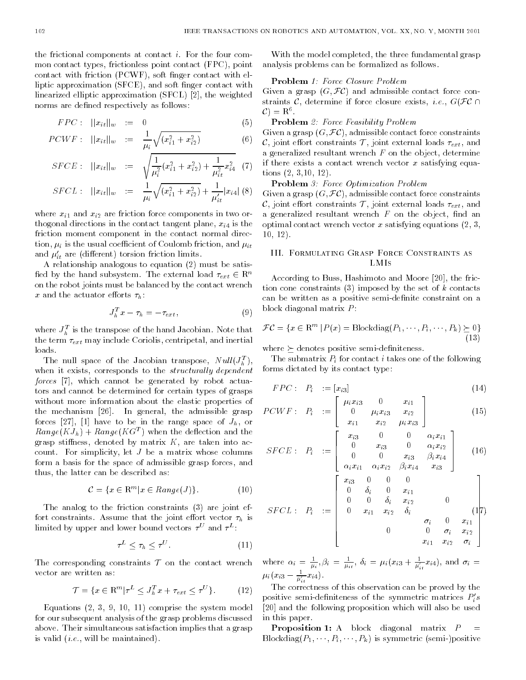the frictional components at contact i. For the four com mon contact types, frictionless point contact (FPC), point contact with friction (PCWF), soft finger contact with elliptic approximation (SFCE), and soft finger contact with linearized elliptic approximation (SFCL) [2], the weighted norms are defined respectively as follows:

$$
FPC: \quad ||x_{it}||_w \quad := \quad 0 \tag{5}
$$

$$
PCWF: \quad ||x_{it}||_{w} \quad := \quad \frac{1}{\mu_i} \sqrt{(x_{i1}^2 + x_{i2}^2)} \tag{6}
$$

$$
SFCE: \quad ||x_{it}||_{w} \quad := \quad \sqrt{\frac{1}{\mu_i^2} (x_{i1}^2 + x_{i2}^2) + \frac{1}{\mu_{it}^2} x_{i4}^2} \quad (7)
$$

$$
SFCL: \quad ||x_{it}||_{w} \quad := \quad \frac{1}{\mu_i} \sqrt{(x_{i1}^2 + x_{i2}^2)} + \frac{1}{\mu'_{it}} |x_{i4}| \tag{8}
$$

where  $x_{i1}$  and  $x_{i2}$  are friction force components in two orthogonal directions in the contact tangent plane,  $x_{i4}$  is the friction moment component in the contact normal direction,  $\mu_i$  is the usual coefficient of Coulomb friction, and  $\mu_{it}$ and  $\mu_{it}$  are (different) torsion friction limits.

A relationship analogous to equation (2) must be satis fied by the hand subsystem. The external load  $\tau_{ext} \in \mathbb{R}^n$ on the robot joints must be balanced by the contact wrench x and the actuator efforts  $\tau_h$ :

$$
J_h^T x - \tau_h = -\tau_{ext}, \qquad (9)
$$

where  $J_h^{\pi}$  is the transpose of the hand Jacobian. Note that the term  $\tau_{ext}$  may include Coriolis, centripetal, and inertial loads.

The null space of the Jacobian transpose,  $N \, u \, u \, (\mathcal{J}_h)$ , when it exists, corresponds to the *structurally dependent* forces [7], which cannot be generated by robot actuators and cannot be determined for certain types of grasps without more information about the elastic properties of the mechanism [26]. In general, the admissible grasp forces [27], [1] have to be in the range space of  $J_h$ , or  $\mathcal{R}$ ange $(KJ_h)$  +  $\mathcal{R}$ ange $(KG^+)$  when the deflection and the grasp stiffness, denoted by matrix  $K$ , are taken into account. For simplicity, let J be a matrix whose columns form a basis for the space of admissible grasp forces, and thus, the latter can be described as:

$$
\mathcal{C} = \{ x \in \mathbb{R}^m | x \in Range(J) \}. \tag{10}
$$

The analog to the friction constraints (3) are joint effort constraints. Assume that the joint effort vector  $\tau_h$  is limited by upper and lower bound vectors  $\tau^+$  and  $\tau^-$ :

$$
\tau^L \le \tau_h \le \tau^U. \tag{11}
$$

The corresponding constraints  $\mathcal T$  on the contact wrench vector are written as:

$$
\mathcal{T} = \{ x \in \mathbf{R}^m | \tau^L \le J_h^T x + \tau_{ext} \le \tau^U \}. \tag{12}
$$

Equations (2, 3, 9, 10, 11) comprise the system model for our subsequent analysis of the grasp problems discussed above. Their simultaneous satisfaction implies that a grasp is valid (i.e., will be maintained).

With the model completed, the three fundamental grasp analysis problems can be formalized as follows.

## Problem 1: Force Closure Problem

Given a grasp  $(G, \mathcal{FC})$  and admissible contact force constraints C, determine if force closure exists, *i.e.*,  $G(\mathcal{FC} \cap$  $\mathbf{C}$  =  $\mathbf{R}$   $\mathbf{C}$ 

# Problem 2: Force Feasibility Problem

Given a grasp  $(G, \mathcal{FC})$ , admissible contact force constraints  $\mathcal{C}$ , joint effort constraints  $\mathcal{T}$ , joint external loads  $\tau_{ext}$ , and a generalized resultant wrench  $F$  on the object, determine if there exists a contact wrench vector x satisfying equations (2, 3,10, 12).

Problem 3: Force Optimization Problem

Given a grasp  $(G, \mathcal{F}\mathcal{C})$ , admissible contact force constraints C, joint effort constraints T, joint external loads  $\tau_{ext}$ , and a generalized resultant wrench  $F$  on the object, find an optimal contact wrench vector x satisfying equations  $(2, 3, ...)$ 10, 12).

# III. Formulating Grasp Force Constraints as LMIS

According to Buss, Hashimoto and Moore [20], the friction cone constraints  $(3)$  imposed by the set of k contacts can be written as a positive semi-definite constraint on a block diagonal matrix P :

$$
\mathcal{FC} = \{x \in \mathbb{R}^m \, | \, P(x) = \text{Blockdiag}(P_1, \dots, P_i, \dots, P_k) \geq 0\}
$$
\n(13)

where  $\succeq$  denotes positive semi-definiteness.

2022 - Paul Barbara, Paul Barbara, Paul Barbara, Paul Barbara, Paul Barbara, Paul Barbara, Paul Barbara, Paul

The submatrix  $P_i$  for contact i takes one of the following forms dictated by its contact type:

$$
FPC: P_i := [x_{i3}] \tag{14}
$$

<sup>3</sup>

$$
PCWF: \quad P_i \quad := \left| \begin{array}{ccc} \mu_i x_{i3} & 0 & x_{i1} \\ 0 & \mu_i x_{i3} & x_{i2} \\ x_{i1} & x_{i2} & \mu_i x_{i3} \end{array} \right| \tag{15}
$$

$$
SFCE: P_{i} := \begin{bmatrix} x_{i3} & 0 & 0 & \alpha_{i}x_{i1} \\ 0 & x_{i3} & 0 & \alpha_{i}x_{i2} \\ 0 & 0 & x_{i3} & \beta_{i}x_{i4} \\ \alpha_{i}x_{i1} & \alpha_{i}x_{i2} & \beta_{i}x_{i4} & x_{i3} \end{bmatrix}
$$
(16)  

$$
SFCL: P_{i} := \begin{bmatrix} x_{i3} & 0 & 0 & 0 \\ 0 & \delta_{i} & 0 & x_{i1} \\ 0 & 0 & \delta_{i} & x_{i2} & 0 \\ 0 & x_{i1} & x_{i2} & \delta_{i} & (17) \\ 0 & 0 & 0 & \sigma_{i} & x_{i2} \\ 0 & 0 & 0 & \sigma_{i} & x_{i2} \\ 0 & 0 & 0 & \sigma_{i} & x_{i2} \end{bmatrix}
$$

where  $\alpha_i = \frac{1}{\mu_i}, \beta_i = \frac{1}{\mu_{it}}, \delta_i = \mu_i (x_{i3} + \frac{1}{\mu'_{it}} x_{i4}),$  and  $\sigma_i =$  $\mu_i(x_{i3} - \frac{1}{\mu'_{ii}} x_{i4}).$ 

The correctness of this observation can be proved by the positive semi-definiteness of the symmetric matrices  $F_i$ s [20] and the following proposition which will also be used in this paper.

**Proposition 1:** A block diagonal matrix  $P$ Blockdiag $(P_1, \dots, P_i, \dots, P_k)$  is symmetric (semi-)positive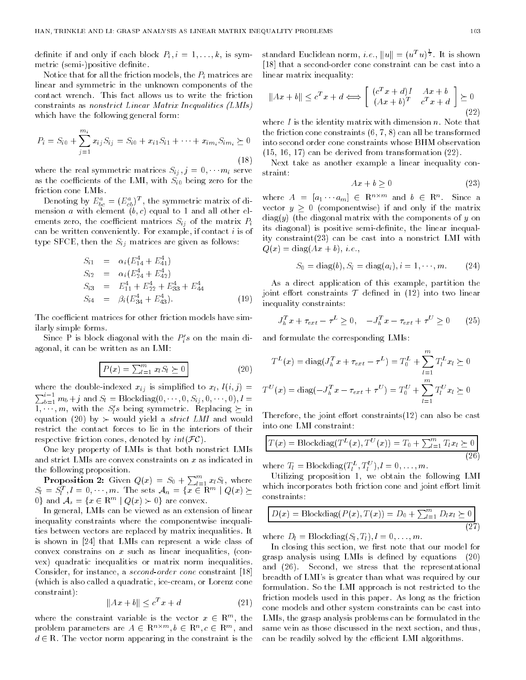definite if and only if each block  $P_i, i = 1, \ldots, k$ , is symmetric (semi-)positive definite.

Notice that for all the friction models, the  $P_i$  matrices are linear and symmetric in the unknown components of the contact wrench. This fact allows us to write the friction constraints as nonstrict Linear Matrix Inequalities (LMIs) which have the following general form:

$$
P_i = S_{i0} + \sum_{j=1}^{m_i} x_{ij} S_{ij} = S_{i0} + x_{i1} S_{i1} + \dots + x_{im_i} S_{im_i} \ge 0 \qquad \text{if}
$$
\n
$$
(18)
$$

where the real symmetric matrices  $S_{ij}$ ,  $j = 0, \cdots m_i$  serve straint: as the coefficients of the LMI, with  $S_{i0}$  being zero for the friction cone LMIs.

Denoting by  $E_{bc}^{\tau} \equiv (E_{cb}^{\tau})^{\tau}$ , the symmetric matrix of dimension a with element  $(b, c)$  equal to 1 and all other elements zero, the coefficient matrices  $S_{ij}$  of the matrix  $P_i$ can be written conveniently. For example, if contact  $i$  is of type SFCE, then the  $S_{ij}$  matrices are given as follows:

$$
S_{i1} = \alpha_i (E_{14}^4 + E_{41}^4)
$$
  
\n
$$
S_{i2} = \alpha_i (E_{24}^4 + E_{42}^4)
$$
  
\n
$$
S_{i3} = E_{11}^4 + E_{22}^4 + E_{33}^4 + E_{44}^4
$$
  
\n
$$
S_{i4} = \beta_i (E_{34}^4 + E_{43}^4).
$$
\n(19)

The coefficient matrices for other friction models have similarly simple forms.

Since P is block diagonal with the  $F_i$ s on the main diagonal, it can be written as an LMI:

$$
P(x) = \sum_{l=1}^{m} x_l S_l \ge 0
$$
 (20)

where the double-indexed  $x_{ij}$  is simplified to  $x_i$ ,  $l(i, j) =$  $\sum_{b=1}^{i-1} m_b + j$  and  $S_l = \text{Blockdiag}(0, \cdots, 0, S_{ij}, 0, \cdots, 0), l =$  $1, \dots, m$ , with the  $S_l$ s being symmetric. Replacing  $\geq m$ equation (20) by  $\succ$  would yield a *strict LMI* and would restrict the contact forces to lie in the interiors of their respective friction cones, denoted by  $int(\mathcal{FC})$ .

One key property of LMIs is that both nonstrict LMIs and strict LMIs are convex constraints on x as indicated in the following proposition.

**Proposition 2:** Given  $Q(x) = S_0 + \sum_{l=1}^{m} x_l S_l$ , where  $S_l = S_l^+, l = 0, \dots, m.$  The sets  $A_n = \{x \in \mathbb{R}^m \mid Q(x) \geq 0\}$  $0 \nmid$  and  $A_s = \{x \in \mathbb{R}^m \mid Q(x) \succ 0\}$  are convex.

In general, LMIs can be viewed as an extension of linear inequality constraints where the componentwise inequalities between vectors are replaced by matrix inequalities. It is shown in [24] that LMIs can represent a wide class of convex constrains on  $x$  such as linear inequalities, (convex) quadratic inequalities or matrix norm inequalities. Consider, for instance, a second-order cone constraint [18] (which is also called a quadratic, ice-cream, or Lorenz cone constraint):

$$
||Ax + b|| \le c^T x + d \tag{21}
$$

where the constraint variable is the vector  $x \in \mathbb{R}^m$ , the  $\Box$ problem parameters are  $A \in \mathbb{R}^{n \times m}$ ,  $b \in \mathbb{R}^{m}$ ,  $c \in \mathbb{R}^{m}$ , and sa  $d \in \mathbb{R}$ . The vector norm appearing in the constraint is the

standard Euclidean norm, *i.e.*,  $||u|| = (u^I u)^{\frac{1}{2}}$ . It is shown [18] that a second-order cone constraint can be cast into a linear matrix inequality:

$$
||Ax + b|| \le c^T x + d \Longleftrightarrow \begin{bmatrix} (c^T x + d)I & Ax + b \\ (Ax + b)^T & c^T x + d \end{bmatrix} \succeq 0
$$
\n(22)

where  $I$  is the identity matrix with dimension  $n$ . Note that the friction cone constraints (6, 7, 8) can all be transformed into second order cone constraints whose BHM observation (15, 16, 17) can be derived from transformation (22).

 $\sqrt{18}$ Next take as another example a linear inequality con-

$$
Ax + b \ge 0 \tag{23}
$$

where  $A = |a_1 \cdots a_m| \in \mathbb{R}^{m \times m}$  and  $\theta \in \mathbb{R}^{m}$ . Since a vector  $y \geq 0$  (componentwise) if and only if the matrix  $diag(y)$  (the diagonal matrix with the components of y on its diagonal) is positive semi-definite, the linear inequality constraint(23) can be cast into a nonstrict LMI with  $Q(x) = \text{diag}(Ax + b), i.e.,$ 

$$
S_0 = diag(b), S_i = diag(a_i), i = 1, \dots, m.
$$
 (24)

As a direct application of this example, partition the joint effort constraints  $T$  defined in (12) into two linear inequality constraints:

$$
J_h^T x + \tau_{ext} - \tau^L \ge 0, \quad -J_h^T x - \tau_{ext} + \tau^U \ge 0 \tag{25}
$$

and formulate the corresponding LMIs:

$$
T^{L}(x) = \text{diag}(J_{h}^{T} x + \tau_{ext} - \tau^{L}) = T_{0}^{L} + \sum_{l=1}^{m} T_{l}^{L} x_{l} \ge 0
$$
  

$$
T^{U}(x) = \text{diag}(-J_{h}^{T} x - \tau_{ext} + \tau^{U}) = T_{0}^{U} + \sum_{l=1}^{m} T_{l}^{U} x_{l} \ge 0
$$

Therefore, the joint effort constraints $(12)$  can also be cast into one LMI constraint:

$$
T(x) = \text{Blockdiag}(T^{L}(x), T^{U}(x)) = T_0 + \sum_{l=1}^{m} T_l x_l \succeq 0
$$
\n
$$
(26)
$$

where  $I_l = \text{Blockdiag}(I_l^-, I_l^-), l = 0, \ldots, m.$ 

Utilizing proposition 1, we obtain the following LMI which incorporates both friction cone and joint effort limit constraints:

$$
D(x) = \text{Blockdiag}(P(x), T(x)) = D_0 + \sum_{l=1}^{m} D_l x_l \ge 0
$$
\n(27)

where  $D_l = \text{Blockdiag}(S_l, T_l), l = 0, \ldots, m.$ 

In closing this section, we first note that our model for grasp analysis using LMIs is dened by equations (20) and (26). Second, we stress that the representational breadth of LMI's is greater than what was required by our formulation. So the LMI approach is not restricted to the friction models used in this paper. As long as the friction cone models and other system constraints can be cast into LMIs, the grasp analysis problems can be formulated in the same vein as those discussed in the next section, and thus, can be readily solved by the efficient LMI algorithms.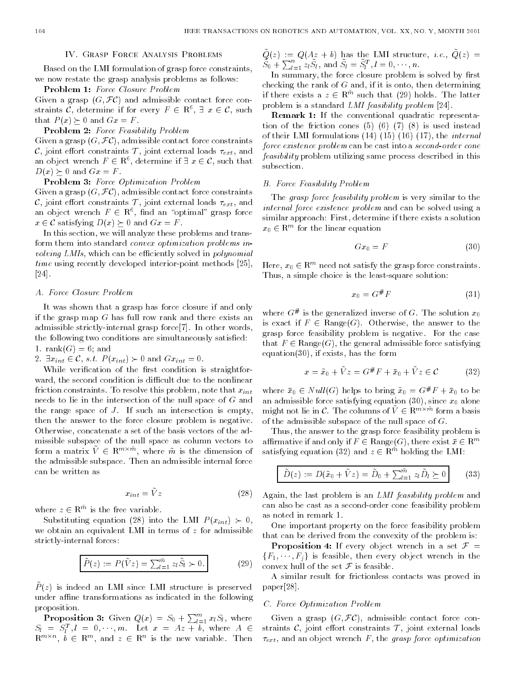# IV. Grasp Force Analysis Problems

Based on the LMI formulation of grasp force constraints, we now restate the grasp analysis problems as follows:

# Problem 1: Force Closure Problem

Given a grasp  $(G, \mathcal{FC})$  and admissible contact force constraints C, determine if for every  $F \in \mathbb{R}^+$ ,  $\exists x \in \mathbb{C}$ , such  $\Box$ that  $P(x) \succeq 0$  and  $Gx = F$ .

# Problem 2: Force Feasibility Problem

Given a grasp  $(G, \mathcal{FC})$ , admissible contact force constraints  $\mathcal{C}_1$  joint effort constraints  $\mathcal{T}_1$ , joint external loads  $\tau_{ext}$ , and an object wrench  $F \in \mathbb{R}$ , determine if  $\exists x \in \mathcal{C}$ , such that  $D(x) \succeq 0$  and  $Gx = F$ .

# Problem 3: Force Optimization Problem

Given a grasp  $(G, \mathcal{F}\mathcal{C})$ , admissible contact force constraints  $\mathcal{C}$ , joint effort constraints  $\mathcal{T}$ , joint external loads  $\tau_{ext}$ , and an object wrench  $F$   $\in$  R  $^*$ , find an  $\,$  optimal grasp force  $\,$  $x \in \mathcal{C}$  satisfying  $D(x) \succeq 0$  and  $Gx = F$ .

In this section, we will analyze these problems and transform them into standard convex optimization problems involving LMIs, which can be efficiently solved in *polynomial* time using recently developed interior-point methods [25], [24].

# A. Force Closure Problem

It was shown that a grasp has force closure if and only if the grasp map  $G$  has full row rank and there exists an admissible strictly-internal grasp force[7]. In other words, the following two conditions are simultaneously satisfied: 1. rank $(G) = 6$ ; and

2.  $\exists x_{int} \in \mathcal{C}$ , s.t.  $P(x_{int}) \succ 0$  and  $Gx_{int} = 0$ .

While verification of the first condition is straightforward, the second condition is difficult due to the nonlinear friction constraints. To resolve this problem, note that  $x_{int}$ needs to lie in the intersection of the null space of G and the range space of  $J$ . If such an intersection is empty, then the answer to the force closure problem is negative. Otherwise, concatenate a set of the basis vectors of the admissible subspace of the null space as column vectors to form a matrix  $V_{\rm c} \in \mathbb{R}^{m \times m}$ , where  $m$  is the dimension of the admissible subspace. Then an admissible internal force can be written as

$$
x_{int} = Vz \tag{28}
$$

where  $z \in \mathbb{R}^m$  is the free variable.

Substituting equation (28) into the LMI  $P(x_{int}) \succ 0$ , we obtain an equivalent LMI in terms of  $z$  for admissible strictly-internal forces:

$$
\tilde{P}(z) := P(\tilde{V}z) = \sum_{l=1}^{\tilde{m}} z_l \tilde{S}_l \succ 0.
$$
\n(29)

 $P(z)$  is indeed an LMI since LMI structure is preserved under affine transformations as indicated in the following proposition.

**Proposition 3:** Given  $Q(x) = S_0 + \sum_{l=1}^{m} x_l S_l$ , where  $S_l = S_l^{\dagger}, l = 0, \cdots, m.$  Let  $x = Az + b$ , where  $A \in \text{str}$  $R^{m+n+1}$ ,  $b \in R^m$ , and  $z \in R^m$  is the new variable. Then  $\tau_i$ 

 $Q(z) = Q(Az + b)$  has the LIMI structure, i.e.,  $Q(z) =$  $S_0 + \sum_{l=1}^n z_l S_l$ , and  $S_l = S_l^T$ ,  $l = 0, \dots, n$ .

In summary, the force closure problem is solved by first checking the rank of  $G$  and, if it is onto, then determining if there exists a  $z \in \mathbb{R}^m$  such that (29) holds. The latter problem is a standard LMI feasibility problem [24].

Remark 1: If the conventional quadratic representation of the friction cones (5) (6) (7) (8) is used instead of their LMI formulations (14) (15) (16) (17), the internal force existence problem can be cast into a second-order cone feasibility problem utilizing same process described in this subsection.

# B. Force Feasibility Problem

The grasp force feasibility problem is very similar to the internal force existence problem and can be solved using a similar approach: First, determine if there exists a solution  $x_0 \in \mathbb{R}^m$  for the linear equation

$$
Gx_0 = F \tag{30}
$$

Here,  $x_0 \in \mathbb{R}^m$  need not satisfy the grasp force constraints. Thus, a simple choice is the least-square solution:

$$
x_0 = G^\# F \tag{31}
$$

where  $G^{\mu}$  is the generalized inverse of  $G$ . The solution  $x_0$ is exact if  $F \in \text{Range}(G)$ . Otherwise, the answer to the grasp force feasibility problem is negative. For the case that  $F \in \text{Range}(G)$ , the general admissible force satisfying equation $(30)$ , if exists, has the form

$$
x = \tilde{x}_0 + \tilde{V}z = G^{\#}F + \bar{x}_0 + \tilde{V}z \in \mathcal{C}
$$
 (32)

where  $x_0 \in N$  unit  $\{G\}$  helps to bring  $x_0 = G^* T + x_0$  to be an admissible force satisfying equation (30), since  $x_0$  alone might not lie in  $C$ . The columns of  $V \in \mathbb{R}^{m \times m}$  form a basis of the admissible subspace of the null space of  $G$ .

Thus, the answer to the grasp force feasibility problem is affirmative if and only if  $F \in \text{Range}(G)$ , there exist  $\bar{x} \in \mathbb{R}^m$ satisfying equation (32) and  $z \in \mathbb{R}^m$  holding the LMI:

$$
\tilde{D}(z) := D(\tilde{x}_0 + \tilde{V}z) = \tilde{D}_0 + \sum_{l=1}^{\tilde{m}} z_l \tilde{D}_l \succeq 0 \qquad (33)
$$

Again, the last problem is an LMI feasibility problem and can also be cast as a second-order cone feasibility problem as noted in remark 1.

One important property on the force feasibility problem that can be derived from the convexity of the problem is:

**Proposition 4:** If every object wrench in a set  $\mathcal{F} =$  ${F_1, \dots, F_j}$  is feasible, then every object wrench in the convex hull of the set  $\mathcal F$  is feasible.

A similar result for frictionless contacts was proved in paper[28].

# C. Force Optimization Problem

Given a grasp  $(G, \mathcal{FC})$ , admissible contact force constraints  $C$ , joint effort constraints  $T$ , joint external loads  $\tau_{ext}$ , and an object wrench F, the grasp force optimization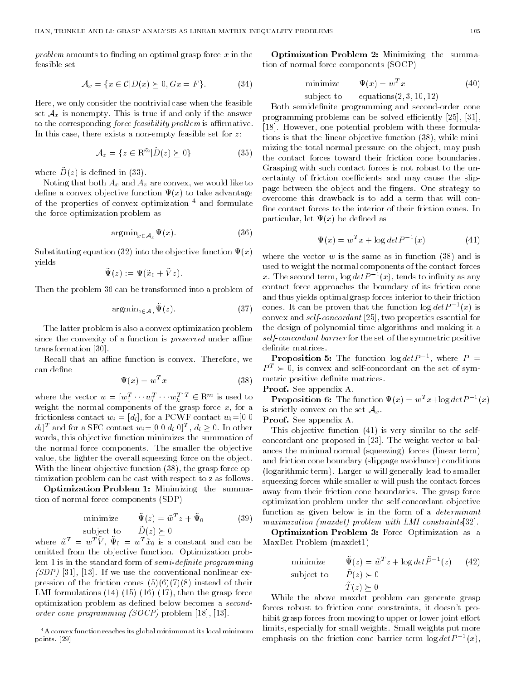*problem* amounts to finding an optimal grasp force  $x$  in the feasible set

$$
\mathcal{A}_x = \{ x \in \mathcal{C} | D(x) \succeq 0, Gx = F \}. \tag{34}
$$

Here, we only consider the nontrivial case when the feasible set  $A_x$  is nonempty. This is true if and only if the answer to the corresponding *force feasibility problem* is affirmative. In this case, there exists a non-empty feasible set for  $z$ :

$$
\mathcal{A}_z = \{ z \in \mathcal{R}^{\tilde{m}} | \tilde{D}(z) \succeq 0 \} \tag{35}
$$

where  $D(x)$  is defined in (59).

Noting that both  $A_x$  and  $A_z$  are convex, we would like to define a convex objective function  $\Psi(x)$  to take advantage of the properties of convex optimization <sup>4</sup> and formulate the force optimization problem as

$$
\operatorname{argmin}_{x \in \mathcal{A}_x} \Psi(x). \tag{36}
$$

Substituting equation (32) into the objective function  $\Psi(x)$ yields

$$
\tilde{\Psi}(z) \ := \Psi(\tilde{x}_0 + \tilde{V} z)
$$

Then the problem 36 can be transformed into a problem of

$$
\operatorname{argmin}_{z \in \mathcal{A}_z} \Psi(z). \tag{37}
$$

The latter problem is also a convex optimization problem since the convexity of a function is *preserved* under affine transformation [30].

Recall that an affine function is convex. Therefore, we can define

$$
\Psi(x) = w^T x \tag{38}
$$

where the vector  $w = [w_1^1 \cdots w_i^1 \cdots w_k^1]$   $\in$  R<sub>m</sub>. is used to weight the normal components of the grasp force  $x$ , for a frictionless contact  $w_i = [d_i]$ , for a PCWF contact  $w_i = [0 \ 0]$  $a_i$ | and for a SFC contact  $w_i = |0 \cup a_i|$  of  $\overline{a_i} \geq 0$ . In other words, this objective function minimizes the summation of the normal force components. The smaller the objective value, the lighter the overall squeezing force on the object. With the linear objective function (38), the grasp force optimization problem can be cast with respect to z as follows.

Optimization Problem 1: Minimizing the summation of normal force components (SDP)

$$
\text{minimize} \qquad \tilde{\Psi}(z) = \tilde{w}^T z + \tilde{\Psi}_0 \tag{39}
$$

 $\mathcal{L}$  by  $\mathcal{L}$  and  $\mathcal{L}$   $\mathcal{L}$  and  $\mathcal{L}$  (z)  $\mathcal{L}$  . Or all  $\mathcal{L}$ 

where  $w^-=w^ \vee$ ,  $\Psi_0 = w^- x_0$  is a constant and can be [ omitted from the objective function. Optimization problem 1 is in the standard form of  $semi-definite$  programming  $(SDP)$  [31], [13]. If we use the conventional nonlinear expression of the friction cones  $(5)(6)(7)(8)$  instead of their LMI formulations (14) (15) (16) (17), then the grasp force optimization problem as defined below becomes a secondorder cone programming (SOCP) problem [18], [13].

Optimization Problem 2: Minimizing the summation of normal force components (SOCP)

$$
\begin{array}{ll}\text{minimize} & \Psi(x) = w^T x\\ \text{subject to} & \text{equations}(2, 3, 10, 12)\end{array} \tag{40}
$$

Both semidefinite programming and second-order cone programming problems can be solved efficiently  $[25]$ ,  $[31]$ , [18]. However, one potential problem with these formulations is that the linear objective function (38), while minimizing the total normal pressure on the object, may push the contact forces toward their friction cone boundaries. Grasping with such contact forces is not robust to the uncertainty of friction coefficients and may cause the slippage between the object and the fingers. One strategy to overcome this drawback is to add a term that will con fine contact forces to the interior of their friction cones. In particular, let  $\Psi(x)$  be defined as

$$
\Psi(x) = w^T x + \log det P^{-1}(x) \tag{41}
$$

where the vector  $w$  is the same as in function (38) and is used to weight the normal components of the contact forces x. The second term, log  $a e \iota P^{-1}(x)$ , tends to infinity as any contact force approaches the boundary of its friction cone and thus yields optimal grasp forces interior to their friction cones. It can be proven that the function  $\log a e t$   $F = \{x\}$  is convex and self-concordant [25], two properties essential for the design of polynomial time algorithms and making it a self-concordant barrier for the set of the symmetric positive definite matrices.

**Proposition 5:** The function log  $det P$  =  $\qquad =$  $P^T \succ 0$ , is convex and self-concordant on the set of symmetric positive definite matrices.

Proof. See appendix A.

**Proposition 6:** The function  $\Psi(x) = w^2 x + \log a e t$   $P^{-1}(x)$ is strictly convex on the set  $\mathcal{A}_x$ .

Proof. See appendix A.

This objective function (41) is very similar to the selfconcordant one proposed in [23]. The weight vector  $w$  balances the minimal normal (squeezing) forces (linear term) and friction cone boundary (slippage avoidance) conditions (logarithmic term). Larger  $w$  will generally lead to smaller squeezing forces while smaller  $w$  will push the contact forces away from their friction cone boundaries. The grasp force optimization problem under the self-concordant objective function as given below is in the form of a *determinant* maximization (maxdet) problem with LMI constraints[32].

Optimization Problem 3: Force Optimization as a MaxDet Problem (maxdet1)

minimize 
$$
\tilde{\Psi}(z) = \tilde{w}^T z + \log det \tilde{P}^{-1}(z)
$$
 (42)  
subject to  $\tilde{P}(z) \succ 0$   
 $\tilde{T}(z) \succeq 0$ 

While the above maxdet problem can generate grasp forces robust to friction cone constraints, it doesn't prohibit grasp forces from moving to upper or lower joint effort limits, especially for small weights. Small weights put more emphasis on the friction cone barrier term log  $\det P = (x)$ ,

<sup>4</sup>A convex function reaches its global minimum at its local minimum points. [29]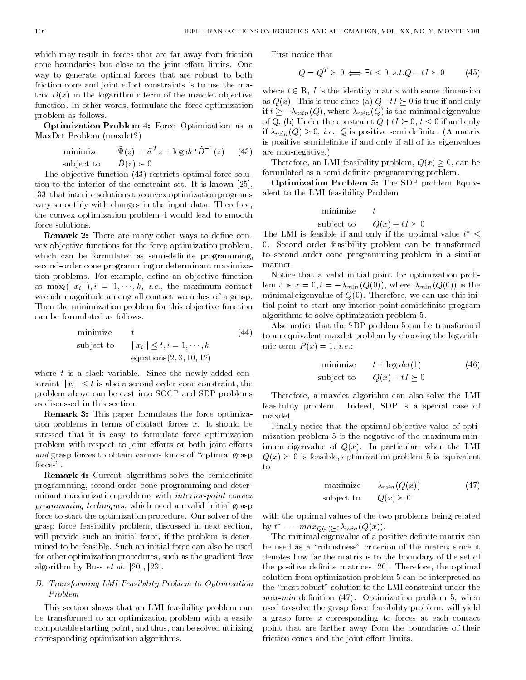which may result in forces that are far away from friction cone boundaries but close to the joint effort limits. One way to generate optimal forces that are robust to both friction cone and joint effort constraints is to use the matrix  $D(x)$  in the logarithmic term of the maxdet objective function. In other words, formulate the force optimization problem as follows.

Optimization Problem 4: Force Optimization as a MaxDet Problem (maxdet2)

minimize 
$$
\tilde{\Psi}(z) = \tilde{w}^T z + \log det \tilde{D}^{-1}(z)
$$
 (43)  
subject to  $\tilde{D}(z) > 0$ 

The objective function (43) restricts optimal force solution to the interior of the constraint set. It is known [25], [33] that interior solutions to convex optimization programs vary smoothly with changes in the input data. Therefore, the convex optimization problem 4 would lead to smooth force solutions.

**Remark 2:** There are many other ways to define convex objective functions for the force optimization problem, which can be formulated as semi-definite programming, second-order cone programming or determinant maximization problems. For example, define an objective function as  $\max_i(||x_i||), i = 1, \dots, k, i.e.,$  the maximum contact wrench magnitude among all contact wrenches of a grasp. Then the minimization problem for this objective function can be formulated as follows.

minimize 
$$
t
$$
 (44)  
subject to  $||x_i|| \le t, i = 1, \dots, k$   
equations(2, 3, 10, 12)

where  $t$  is a slack variable. Since the newly-added constraint  $||x_i|| \leq t$  is also a second order cone constraint, the problem above can be cast into SOCP and SDP problems as discussed in this section.

Remark 3: This paper formulates the force optimization problems in terms of contact forces  $x$ . It should be stressed that it is easy to formulate force optimization problem with respect to joint efforts or both joint efforts and grasp forces to obtain various kinds of "optimal grasp" forces".

**Remark 4:** Current algorithms solve the semidefinite programming, second-order cone programming and determinant maximization problems with *interior-point convex* programming techniques, which need an valid initial grasp force to start the optimization procedure. Our solver of the grasp force feasibility problem, discussed in next section, will provide such an initial force, if the problem is determined to be feasible. Such an initial force can also be used for other optimization procedures, such as the gradient flow algorithm by Buss  $et \ al. [20], [23].$ 

# D. Transforming LMI Feasibility Problem to Optimization

This section shows that an LMI feasibility problem can be transformed to an optimization problem with a easily computable starting point, and thus, can be solved utilizing corresponding optimization algorithms.

First notice that

$$
Q = Q^T \succeq 0 \Longleftrightarrow \exists t \le 0, s.t. Q + tI \succeq 0 \tag{45}
$$

where  $t \in \mathbb{R}$ , I is the identity matrix with same dimension as  $Q(x)$ . This is true since (a)  $Q+tI\succeq 0$  is true if and only if  $t \geq -\lambda_{min}(Q)$ , where  $\lambda_{min}(Q)$  is the minimal eigenvalue of Q. (b) Under the constraint  $Q+tI \succeq 0$ ,  $t \leq 0$  if and only if  $\lambda_{min}(Q) \geq 0$ , *i.e.*, Q is positive semi-definite. (A matrix is positive semidefinite if and only if all of its eigenvalues are non-negative.)

Therefore, an LMI feasibility problem,  $Q(x) \geq 0$ , can be formulated as a semi-definite programming problem.

Optimization Problem 5: The SDP problem Equivalent to the LMI feasibility Problem

$$
\begin{array}{ll}\text{minimize} & t\\ \text{subject to} & Q(x) + tI \succeq 0 \end{array}
$$

The LMI is feasible if and only if the optimal value  $t^* \leq$ 0. Second order feasibility problem can be transformed to second order cone programming problem in a similar manner.

Notice that a valid initial point for optimization problem 5 is  $x = 0, t = -\lambda_{min}(Q(0))$ , where  $\lambda_{min}(Q(0))$  is the minimal eigenvalue of  $Q(0)$ . Therefore, we can use this initial point to start any interior-point semidefinite program algorithms to solve optimization problem 5.

Also notice that the SDP problem 5 can be transformed to an equivalent maxdet problem by choosing the logarithmic term  $P(x) = 1$ , *i.e.*:

$$
\begin{array}{ll}\text{minimize} & t + \log \det(1) \\ \text{subject to} & Q(x) + tI \succ 0 \end{array} \tag{46}
$$

Therefore, a maxdet algorithm can also solve the LMI feasibility problem. Indeed, SDP is a special case of maxdet.

Finally notice that the optimal objective value of optimization problem 5 is the negative of the maximum minimum eigenvalue of  $Q(x)$ . In particular, when the LMI  $Q(x) \succeq 0$  is feasible, optimization problem 5 is equivalent  $tc$ 

$$
\begin{array}{ll}\text{maximize} & \lambda_{min}(Q(x))\\ \text{subject to} & Q(x) \succ 0 \end{array} \tag{47}
$$

with the optimal values of the two problems being related by  $t^* = -max_{Q(x)\geq 0} \lambda_{min}(Q(x)).$ 

The minimal eigenvalue of a positive definite matrix can be used as a "robustness" criterion of the matrix since it denotes how far the matrix is to the boundary of the set of the positive definite matrices [20]. Therefore, the optimal solution from optimization problem 5 can be interpreted as the "most robust" solution to the LMI constraint under the  $max-min$  definition (47). Optimization problem 5, when used to solve the grasp force feasibility problem, will yield a grasp force x corresponding to forces at each contact point that are farther away from the boundaries of their friction cones and the joint effort limits.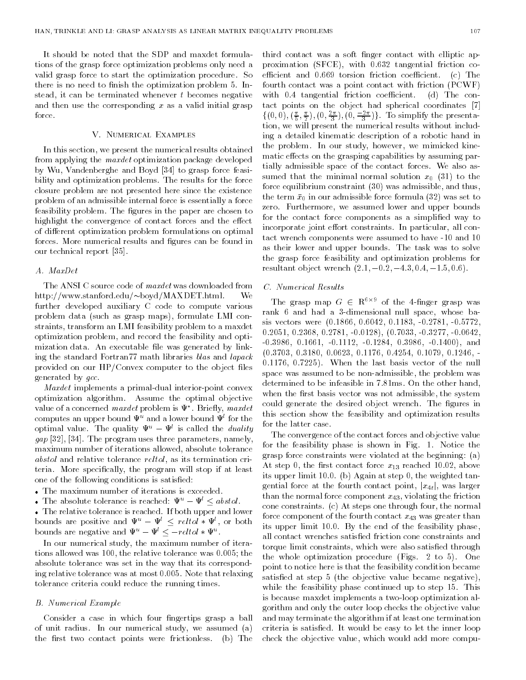It should be noted that the SDP and maxdet formulations of the grasp force optimization problems only need a valid grasp force to start the optimization procedure. So there is no need to finish the optimization problem 5. Instead, it can be terminated whenever  $t$  becomes negative and then use the corresponding  $x$  as a valid initial grasp force.

#### V. Numerical Examples

In this section, we present the numerical results obtained from applying the *maxdet* optimization package developed by Wu, Vandenberghe and Boyd [34] to grasp force feasibility and optimization problems. The results for the force closure problem are not presented here since the existence problem of an admissible internal force is essentially a force feasibility problem. The figures in the paper are chosen to highlight the convergence of contact forces and the effect of different optimization problem formulations on optimal forces. More numerical results and figures can be found in our technical report [35].

#### A. MaxDet

The ANSI C source code of *maxdet* was downloaded from http://www.stanford.edu/ $\sim$ boyd/MAXDET.html.  $We$ further developed auxiliary C code to compute various problem data (such as grasp maps), formulate LMI constraints, transform an LMI feasibility problem to a maxdet optimization problem, and record the feasibility and optimization data. An executable file was generated by linking the standard Fortran77 math libraries blas and lapack provided on our HP/Convex computer to the object files generated by gcc.

Maxdet implements a primal-dual interior-point convex optimization algorithm. Assume the optimal objective value of a concerned *maxdet* problem is  $\Psi$ . Brieny, *maxdet* computes an upper bound  $\Psi^u$  and a lower bound  $\Psi^l$  for the optimal value. The quality  $\Psi^u - \Psi^l$  is called the *duality*  $gap$  [32], [34]. The program uses three parameters, namely, maximum number of iterations allowed, absolute tolerance abstol and relative tolerance reltol, as its termination criteria. More specically, the program will stop if at least one of the following conditions is satisfied:

- The maximum number of iterations is exceeded.
- The absolute tolerance is reached:  $\Psi^u \Psi^l < abstol$ . The relative tolerance is reached. If both upper and lower

bounds are positive and  $\Psi^u - \Psi^l \le \text{reltol} * \Psi^l$ , or both bounds are negative and  $\Psi^+ - \Psi^+ \le -re\iota\iota\sigma + \Psi^-$ .

In our numerical study, the maximum number of iterations allowed was 100, the relative tolerance was 0.005; the absolute tolerance was set in the way that its corresponding relative tolerance was at most 0.005. Note that relaxing tolerance criteria could reduce the running times.

# B. Numerical Example

Consider a case in which four fingertips grasp a ball of unit radius. In our numerical study, we assumed (a) the first two contact points were frictionless. (b) The third contact was a soft finger contact with elliptic approximation (SFCE), with 0:632 tangential friction coefficient and  $0.669$  torsion friction coefficient. (c) The fourth contact was a point contact with friction (PCWF) with  $0.4$  tangential friction coefficient. (d) The contact points on the object had spherical coordinates [7]  $\{(0,0), (\frac{1}{2}, \frac{1}{2}), (0, \frac{1}{2}, 1), (0, \frac{1}{2}, \frac{1}{2})\}$ . To simplify the presentation, we will present the numerical results without including a detailed kinematic description of a robotic hand in the problem. In our study, however, we mimicked kinematic effects on the grasping capabilities by assuming partially admissible space of the contact forces. We also assumed that the minimal normal solution  $x_0$  (31) to the force equilibrium constraint (30) was admissible, and thus, the term  $\bar{x}_0$  in our admissible force formula (32) was set to zero. Furthermore, we assumed lower and upper bounds for the contact force components as a simplied way to incorporate joint effort constraints. In particular, all contact wrench components were assumed to have -10 and 10 as their lower and upper bounds. The task was to solve the grasp force feasibility and optimization problems for resultant object wrench  $(2.1, -0.2, -4.3, 0.4, -1.5, 0.6)$ .

# C. Numerical Results

The grasp map  $G \in \mathbb{R}$  of the 4-iniger grasp was rank 6 and had a 3-dimensional null space, whose basis vectors were (0.1866, 0.6042, 0.1183, -0.2781, -0.5772, 0.2051, 0.2368, 0.2781, -0.0128), (0.7033, -0.3277, -0.0642, -0.3986, 0.1661, -0.1112, -0.1284, 0.3986, -0.1400), and (0.3703, 0.3180, 0.0623, 0.1176, 0.4254, 0.1079, 0.1246, - 0.1176, 0.7225). When the last basis vector of the null space was assumed to be non-admissible, the problem was determined to be infeasible in 7.81ms. On the other hand, when the first basis vector was not admissible, the system could generate the desired object wrench. The figures in this section show the feasibility and optimization results for the latter case.

The convergence of the contact forces and objective value for the feasibility phase is shown in Fig. 1. Notice the grasp force constraints were violated at the beginning: (a) At step 0, the first contact force  $x_{13}$  reached 10.02, above its upper limit 10.0. (b) Again at step 0, the weighted tangential force at the fourth contact point,  $|x_{4t}|$ , was larger than the normal force component  $x_{43}$ , violating the friction cone constraints. (c) At steps one through four, the normal force component of the fourth contact  $x_{43}$  was greater than its upper limit 10.0. By the end of the feasibility phase, all contact wrenches satised friction cone constraints and torque limit constraints, which were also satisfied through the whole optimization procedure (Figs. 2 to 5). One point to notice here is that the feasibility condition became satisfied at step 5 (the objective value became negative), while the feasibility phase continued up to step 15. This is because maxdet implements a two-loop optimization algorithm and only the outer loop checks the objective value and may terminate the algorithm if at least one termination criteria is satised. It would be easy to let the inner loop check the objective value, which would add more compu-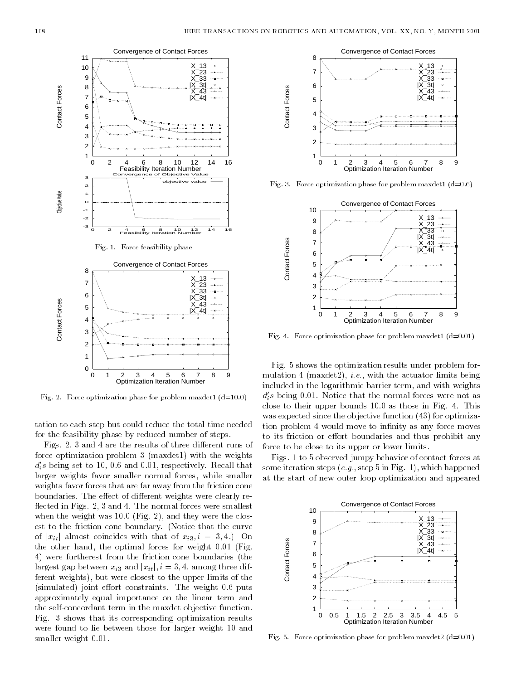

Fig. 2. Force optimization phase for problem maxdet1  $(d=10.0)$ 

tation to each step but could reduce the total time needed for the feasibility phase by reduced number of steps.

Figs. 2, 3 and 4 are the results of three different runs of force optimization problem 3 (maxdet1) with the weights  $a_i$ s being set to 10, 0.6 and 0.01, respectively. Recall that larger weights favor smaller normal forces, while smaller weights favor forces that are far away from the friction cone boundaries. The effect of different weights were clearly reflected in Figs. 2, 3 and 4. The normal forces were smallest when the weight was 10.0 (Fig. 2), and they were the closest to the friction cone boundary. (Notice that the curve of  $|x_{it}|$  almost coincides with that of  $x_{i3}$ ,  $i = 3, 4$ . On the other hand, the optimal forces for weight 0.01 (Fig. 4) were furtherest from the friction cone boundaries (the largest gap between  $x_{i3}$  and  $|x_{it}|$ ,  $i = 3, 4$ , among three different weights), but were closest to the upper limits of the (simulated) joint effort constraints. The weight 0.6 puts approximately equal importance on the linear term and the self-concordant term in the maxdet objective function. Fig. 3 shows that its corresponding optimization results were found to lie between those for larger weight 10 and smaller weight 0.01.



Fig. 3. Force optimization phase for problem maxdet1  $(d=0.6)$ 



Fig. 4. Force optimization phase for problem maxdet1  $(d=0.01)$ 

Fig. 5 shows the optimization results under problem for mulation 4 (maxdet2), *i.e.*, with the actuator limits being included in the logarithmic barrier term, and with weights  $a_i$ s being 0.01. Notice that the normal forces were not as close to their upper bounds 10.0 as those in Fig. 4. This was expected since the objective function (43) for optimization problem 4 would move to infinity as any force moves to its friction or effort boundaries and thus prohibit any force to be close to its upper or lower limits.

Figs. 1 to 5 observed jumpy behavior of contact forces at some iteration steps  $(e.g., step 5$  in Fig. 1), which happened at the start of new outer loop optimization and appeared



Fig. 5. Force optimization phase for problem maxdet2  $(d=0.01)$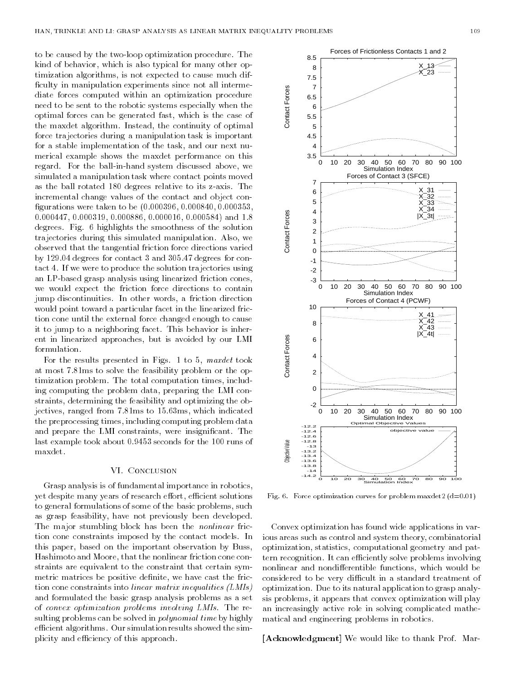to be caused by the two-loop optimization procedure. The kind of behavior, which is also typical for many other optimization algorithms, is not expected to cause much dif ficulty in manipulation experiments since not all intermediate forces computed within an optimization procedure need to be sent to the robotic systems especially when the optimal forces can be generated fast, which is the case of the maxdet algorithm. Instead, the continuity of optimal force trajectories during a manipulation task is important for a stable implementation of the task, and our next nu merical example shows the maxdet performance on this regard. For the ball-in-hand system discussed above, we simulated a manipulation task where contact points moved as the ball rotated 180 degrees relative to its z-axis. The incremental change values of the contact and object con gurations were taken to be (0.000396, 0.000840, 0.000353, 0.000447, 0.000319, 0.000886, 0.000016, 0.000584) and 1.8 degrees. Fig. 6 highlights the smoothness of the solution trajectories during this simulated manipulation. Also, we observed that the tangential friction force directions varied by 129.04 degrees for contact 3 and 305.47 degrees for contact 4. If we were to produce the solution trajectories using an LP-based grasp analysis using linearized friction cones, we would expect the friction force directions to contain jump discontinuities. In other words, a friction direction would point toward a particular facet in the linearized friction cone until the external force changed enough to cause it to jump to a neighboring facet. This behavior is inherent in linearized approaches, but is avoided by our LMI formulation.

For the results presented in Figs. 1 to 5, maxdet took at most 7.81ms to solve the feasibility problem or the optimization problem. The total computation times, including computing the problem data, preparing the LMI constraints, determining the feasibility and optimizing the objectives, ranged from 7.81ms to 15.63ms, which indicated the preprocessing times, including computing problem data and prepare the LMI constraints, were insignicant. The last example took about 0.9453 seconds for the 100 runs of maxdet.

#### VI. Conclusion

Grasp analysis is of fundamental importance in robotics, yet despite many years of research effort, efficient solutions to general formulations of some of the basic problems, such as grasp feasibility, have not previously been developed. The major stumbling block has been the *nonlinear* friction cone constraints imposed by the contact models. In this paper, based on the important observation by Buss, Hashimoto and Moore, that the nonlinear friction cone constraints are equivalent to the constraint that certain symmetric matrices be positive definite, we have cast the friction cone constraints into linear matrix inequalities (LMIs) and formulated the basic grasp analysis problems as a set of convex optimization problems involving LMIs. The resulting problems can be solved in *polynomial time* by highly efficient algorithms. Our simulation results showed the simplicity and efficiency of this approach.



Fig. 6. Force optimization curves for problem maxdet2  $(d=0.01)$ 

Convex optimization has found wide applications in various areas such as control and system theory, combinatorial optimization, statistics, computational geometry and pattern recognition. It can efficiently solve problems involving nonlinear and nondifferentible functions, which would be considered to be very difficult in a standard treatment of optimization. Due to its natural application to grasp analysis problems, it appears that convex optimization will play an increasingly active role in solving complicated mathematical and engineering problems in robotics.

[Acknowledgment] We would like to thank Prof. Mar-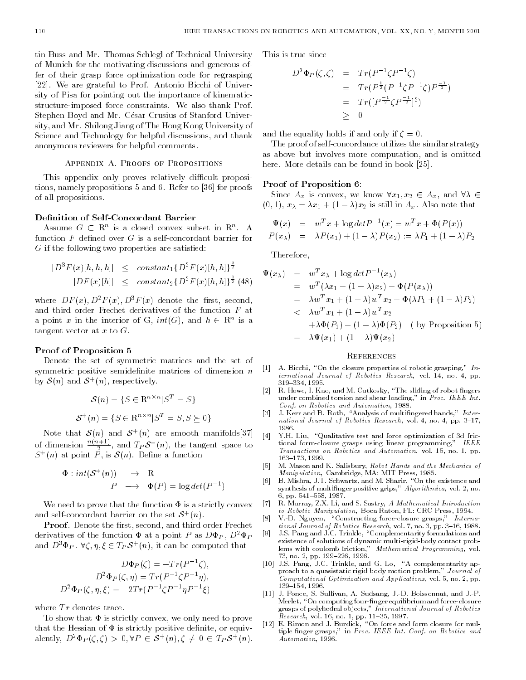tin Buss and Mr. Thomas Schlegl of Technical University of Munich for the motivating discussions and generous offer of their grasp force optimization code for regrasping [22]. We are grateful to Prof. Antonio Bicchi of University of Pisa for pointing out the importance of kinematicstructure-imposed force constraints. We also thank Prof. Stephen Boyd and Mr. César Crusius of Stanford University, and Mr. Shilong Jiang of The Hong Kong University of Science and Technology for helpful discussions, and thank anonymous reviewers for helpful comments.

#### APPENDIX A. PROOFS OF PROPOSITIONS

This appendix only proves relatively difficult propositions, namely propositions 5 and 6. Refer to [36] for proofs of all propositions.

# Definition of Self-Concordant Barrier

Assume  $G \subset R^*$  is a closed convex subset in  $R^*$ . A function  $F$  defined over  $G$  is a self-concordant barrier for  $G$  if the following two properties are satisfied:

$$
|D^{3} F(x)[h,h,h]| \leq constant_{1} \{D^{2} F(x)[h,h]\}^{\frac{3}{2}}
$$
  

$$
|DF(x)[h]| \leq constant_{2} \{D^{2} F(x)[h,h]\}^{\frac{1}{2}} \{48\}
$$

where  $DF(x)$ ,  $D^2F(x)$ ,  $D^3F(x)$  denote the first, second, and third order Frechet derivatives of the function F at a point x in the interior of G,  $ini(G)$ , and  $n \in \mathbb{R}^+$  is a tangent vector at  $x$  to  $G$ .

# Proof of Proposition 5

Denote the set of symmetric matrices and the set of symmetric positive semidefinite matrices of dimension  $n$ by  $\mathcal{O}(n)$  and  $\mathcal{O}^+(n)$ , respectively.

$$
\mathcal{S}(n) = \{ S \in \mathbb{R}^{n \times n} | S^T = S \}
$$

$$
\mathcal{S}^+(n) = \{ S \in \mathbb{R}^{n \times n} | S^T = S, S \succeq 0 \}
$$

Note that  $\mathcal{S}(n)$  and  $\mathcal{S}_{\perp}(n)$  are smooth manifolds[57] of dimension  $\frac{n(n+1)}{2}$ , and  $T_P \delta^+(n)$ , the tangent space to  $S^+(n)$  at point P, is  $S(n)$ . Define a function

$$
\Phi: int(S^+(n)) \longrightarrow R
$$
  

$$
P \longrightarrow \Phi(P) = \log det(P^{-1})
$$

We need to prove that the function  $\Phi$  is a strictly convex and sen-concordant parrier on the set  $\mathcal{S}^+(n)$ .

Proof. Denote the first, second, and third order Frechet derivatives of the function  $\Phi$  at a point P as  $D\Phi_P$ ,  $D^2\Phi_P$  [9] and  $D^{\dagger}\Psi P$ .  $\forall \zeta, \eta, \zeta \in I P \delta^+(n)$ , it can be computed that

$$
D\Phi_P(\zeta) = -Tr(P^{-1}\zeta),
$$
  
\n
$$
D^2\Phi_P(\zeta, \eta) = Tr(P^{-1}\zeta P^{-1}\eta),
$$
  
\n
$$
D^2\Phi_P(\zeta, \eta, \xi) = -2Tr(P^{-1}\zeta P^{-1}\eta P^{-1}\xi)
$$

where  $Tr$  denotes trace.

To show that  $\Phi$  is strictly convex, we only need to prove that the Hessian of  $\Phi$  is strictly positive definite, or equivalently,  $D^{\text{-}}\Psi P(\zeta,\zeta) > 0, \forall T \in \mathcal{S}^+(n), \zeta \neq 0 \in I_P\mathcal{S}^+(n)$ .

This is true since

$$
D^{2} \Phi_{P}(\zeta, \zeta) = Tr(P^{-1} \zeta P^{-1} \zeta)
$$
  
=  $Tr(P^{\frac{1}{2}} (P^{-1} \zeta P^{-1} \zeta) P^{-1} \zeta)$   
=  $Tr([P^{\frac{-1}{2}} \zeta P^{-1}]^{2})$   
 $\geq 0$ 

and the equality holds if and only if  $\zeta = 0$ .

The proof of self-concordance utilizes the similar strategy as above but involves more computation, and is omitted here. More details can be found in book [25].

# Proof of Proposition 6:

Since  $A_x$  is convex, we know  $\forall x_1, x_2 \in A_x$ , and  $\forall \lambda \in$  $(0, 1), x_{\lambda} = \lambda x_1 + (1 - \lambda)x_2$  is still in  $A_x$ . Also note that

$$
\Psi(x) = w^T x + \log det P^{-1}(x) = w^T x + \Phi(P(x))
$$
  
\n
$$
P(x_{\lambda}) = \lambda P(x_1) + (1 - \lambda) P(x_2) := \lambda P_1 + (1 - \lambda) P_2
$$

Therefore,

$$
\Psi(x_{\lambda}) = w^T x_{\lambda} + \log \det P^{-1}(x_{\lambda})
$$
\n
$$
= w^T (\lambda x_1 + (1 - \lambda) x_2) + \Phi(P(x_{\lambda}))
$$
\n
$$
= \lambda w^T x_1 + (1 - \lambda) w^T x_2 + \Phi(\lambda P_1 + (1 - \lambda) P_2)
$$
\n
$$
< \lambda w^T x_1 + (1 - \lambda) w^T x_2
$$
\n
$$
+ \lambda \Phi(P_1) + (1 - \lambda) \Phi(P_2) \quad \text{(by Proposition 5)}
$$
\n
$$
= \lambda \Psi(x_1) + (1 - \lambda) \Psi(x_2)
$$

#### **REFERENCES**

- [1] A. Bicchi, "On the closure properties of robotic grasping,"  $In$ ternational Journal of Robotics Research, vol. 14, no. 4, pp. 319-334, 1995.
- [2] R. Howe, I. Kao, and M. Cutkosky, "The sliding of robot fingers under combined torsion and shear loading," in Proc. IEEE Int. Conf. on Robotics and Automation, 1988.
- [3] J. Kerr and B. Roth, "Analysis of multifingered hands," International Journal of Robotics Research, vol. 4, no. 4, pp.  $3-17$ , 1986.
- [4] Y.H. Liu, "Qualitative test and force optimization of 3d frictional form-closure grasps using linear programming," IEEE Transactions on Robotics and Automation, vol. 15, no. 1, pp. 163{173, 1999.
- [5] M. Mason and K. Salisbury, Robot Hands and the Mechanics of Manipulation, Cambridge, MA: MIT Press, 1985.
- [6] B. Mishra, J.T. Schwartz, and M. Sharir, "On the existence and synthesis of multinger positive grips," Algorithmica, vol. 2, no. 6, pp. 541-558, 1987.
- [7] R. Murray, Z.X. Li, and S. Sastry, A Mathematical Introduction to Robotic Manipulation, Boca Raton, FL: CRC Press, 1994.
- [8] V.-D. Nguyen, "Constructing force-closure grasps," International Journal of Robotics Research, vol. 7, no. 3, pp. 3-16, 1988.
- J.S. Pang and J.C. Trinkle, "Complementarity formulations and existence of solutions of dynamic multi-rigid-body contact problems with coulomb friction," Methematical Programming, vol. 73, no. 2, pp. 199-226, 1996.
- [10] J.S. Pang, J.C. Trinkle, and G. Lo, "A complementarity approach to a quasistatic rigid body motion problem," Journal of Computational Optimization and Applications, vol. 5, no. 2, pp. 139-154, 1996.
- [11] J. Ponce, S. Sullivan, A. Sudsang, J.-D. Boissonnat, and J.-P. Merlet, "On computing four-finger equilibrium and force-closure grasps of polyhedral objects," International Journal of Robotics Research, vol. 16, no. 1, pp. 11-35, 1997.
- [12] E. Rimon and J. Burdick, "On force and form closure for multiple finger grasps," in Proc. IEEE Int. Conf. on Robotics and Automation, 1996.